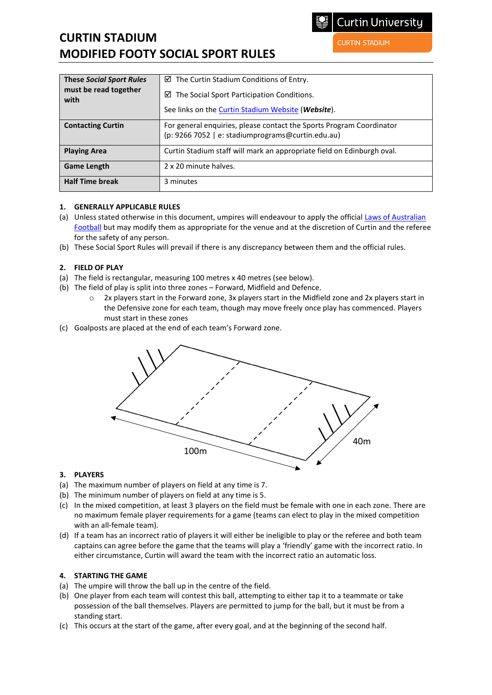# **CURTIN STADIUM MODIFIED FOOTY SOCIAL SPORT RULES**

**CURTIN STADIUM** 

| <b>These Social Sport Rules</b><br>must be read together<br>with | $\boxtimes$ The Curtin Stadium Conditions of Entry.<br>$\boxtimes$ The Social Sport Participation Conditions.<br>See links on the <b>Curtin Stadium Website</b> ( <i>Website</i> ). |
|------------------------------------------------------------------|-------------------------------------------------------------------------------------------------------------------------------------------------------------------------------------|
| <b>Contacting Curtin</b>                                         | For general enquiries, please contact the Sports Program Coordinator<br>(p: 9266 7052   e: stadiumprograms@curtin.edu.au)                                                           |
| <b>Playing Area</b>                                              | Curtin Stadium staff will mark an appropriate field on Edinburgh oval.                                                                                                              |
| <b>Game Length</b>                                               | 2 x 20 minute halves.                                                                                                                                                               |
| <b>Half Time break</b>                                           | 3 minutes                                                                                                                                                                           |

## **1. GENERALLY APPLICABLE RULES**

- (a) Unless stated otherwise in this document, umpires will endeavour to apply the official Laws of Australian [Football](https://resources.afl.com.au/afl/document/2021/03/22/821e4724-d9f4-48b5-8210-aba038553024/2021-Laws-of-the-Game-WEB.pdf) but may modify them as appropriate for the venue and at the discretion of Curtin and the referee for the safety of any person.
- (b) These Social Sport Rules will prevail if there is any discrepancy between them and the official rules.

## **2. FIELD OF PLAY**

- (a) The field is rectangular, measuring 100 metres x 40 metres (see below).
- (b) The field of play is split into three zones Forward, Midfield and Defence.
	- o 2x players start in the Forward zone, 3x players start in the Midfield zone and 2x players start in the Defensive zone for each team, though may move freely once play has commenced. Players must start in these zones
- (c) Goalposts are placed at the end of each team's Forward zone.



#### **3. PLAYERS**

- (a) The maximum number of players on field at any time is 7.
- (b) The minimum number of players on field at any time is 5.
- (c) In the mixed competition, at least 3 players on the field must be female with one in each zone. There are no maximum female player requirements for a game (teams can elect to play in the mixed competition with an all-female team).
- (d) If a team has an incorrect ratio of players it will either be ineligible to play or the referee and both team captains can agree before the game that the teams will play a 'friendly' game with the incorrect ratio. In either circumstance, Curtin will award the team with the incorrect ratio an automatic loss.

#### **4. STARTING THE GAME**

- (a) The umpire will throw the ball up in the centre of the field.
- (b) One player from each team will contest this ball, attempting to either tap it to a teammate or take possession of the ball themselves. Players are permitted to jump for the ball, but it must be from a standing start.
- (c) This occurs at the start of the game, after every goal, and at the beginning of the second half.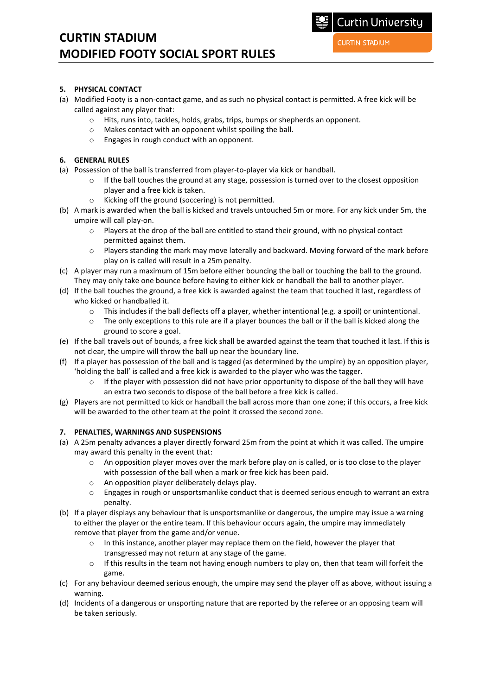## **CURTIN STADIUM MODIFIED FOOTY SOCIAL SPORT RULES**

## **5. PHYSICAL CONTACT**

- (a) Modified Footy is a non-contact game, and as such no physical contact is permitted. A free kick will be called against any player that:
	- o Hits, runs into, tackles, holds, grabs, trips, bumps or shepherds an opponent.
	- o Makes contact with an opponent whilst spoiling the ball.
	- o Engages in rough conduct with an opponent.

## **6. GENERAL RULES**

- (a) Possession of the ball is transferred from player-to-player via kick or handball.
	- $\circ$  If the ball touches the ground at any stage, possession is turned over to the closest opposition player and a free kick is taken.
	- o Kicking off the ground (soccering) is not permitted.
- (b) A mark is awarded when the ball is kicked and travels untouched 5m or more. For any kick under 5m, the umpire will call play-on.
	- $\circ$  Players at the drop of the ball are entitled to stand their ground, with no physical contact permitted against them.
	- $\circ$  Players standing the mark may move laterally and backward. Moving forward of the mark before play on is called will result in a 25m penalty.
- (c) A player may run a maximum of 15m before either bouncing the ball or touching the ball to the ground. They may only take one bounce before having to either kick or handball the ball to another player.
- (d) If the ball touches the ground, a free kick is awarded against the team that touched it last, regardless of who kicked or handballed it.
	- o This includes if the ball deflects off a player, whether intentional (e.g. a spoil) or unintentional.
	- $\circ$  The only exceptions to this rule are if a player bounces the ball or if the ball is kicked along the ground to score a goal.
- (e) If the ball travels out of bounds, a free kick shall be awarded against the team that touched it last. If this is not clear, the umpire will throw the ball up near the boundary line.
- (f) If a player has possession of the ball and is tagged (as determined by the umpire) by an opposition player, 'holding the ball' is called and a free kick is awarded to the player who was the tagger.
	- $\circ$  If the player with possession did not have prior opportunity to dispose of the ball they will have an extra two seconds to dispose of the ball before a free kick is called.
- (g) Players are not permitted to kick or handball the ball across more than one zone; if this occurs, a free kick will be awarded to the other team at the point it crossed the second zone.

#### **7. PENALTIES, WARNINGS AND SUSPENSIONS**

- (a) A 25m penalty advances a player directly forward 25m from the point at which it was called. The umpire may award this penalty in the event that:
	- $\circ$  An opposition player moves over the mark before play on is called, or is too close to the player with possession of the ball when a mark or free kick has been paid.
	- o An opposition player deliberately delays play.
	- o Engages in rough or unsportsmanlike conduct that is deemed serious enough to warrant an extra penalty.
- (b) If a player displays any behaviour that is unsportsmanlike or dangerous, the umpire may issue a warning to either the player or the entire team. If this behaviour occurs again, the umpire may immediately remove that player from the game and/or venue.
	- o In this instance, another player may replace them on the field, however the player that transgressed may not return at any stage of the game.
	- $\circ$  If this results in the team not having enough numbers to play on, then that team will forfeit the game.
- (c) For any behaviour deemed serious enough, the umpire may send the player off as above, without issuing a warning.
- (d) Incidents of a dangerous or unsporting nature that are reported by the referee or an opposing team will be taken seriously.

**Curtin University**